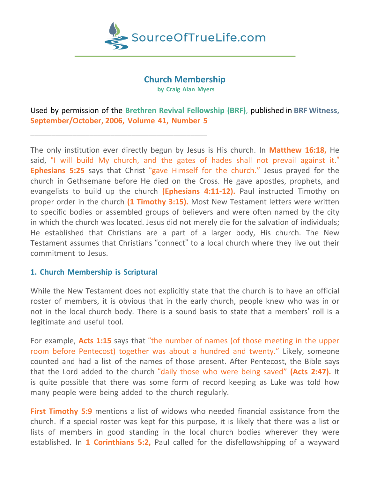

#### **Church Membership**

**by Craig Alan Myers**

Used by permission of the **Brethren Revival Fellowship (BRF)**, published in **BRF Witness, September/October, 2006, Volume 41, Number 5**

The only institution ever directly begun by Jesus is His church. In **Matthew 16:18,** He said, "I will build My church, and the gates of hades shall not prevail against it." **Ephesians 5:25** says that Christ "gave Himself for the church." Jesus prayed for the church in Gethsemane before He died on the Cross. He gave apostles, prophets, and evangelists to build up the church **(Ephesians 4:11-12).** Paul instructed Timothy on proper order in the church **(1 Timothy 3:15).** Most New Testament letters were written to specific bodies or assembled groups of believers and were often named by the city in which the church was located. Jesus did not merely die for the salvation of individuals; He established that Christians are a part of a larger body, His church. The New Testament assumes that Christians "connect" to a local church where they live out their commitment to Jesus.

#### **1. Church Membership is Scriptural**

\_\_\_\_\_\_\_\_\_\_\_\_\_\_\_\_\_\_\_\_\_\_\_\_\_\_\_\_\_\_\_\_\_\_\_\_\_\_\_\_\_\_

While the New Testament does not explicitly state that the church is to have an official roster of members, it is obvious that in the early church, people knew who was in or not in the local church body. There is a sound basis to state that a members' roll is a legitimate and useful tool.

For example, **Acts 1:15** says that "the number of names (of those meeting in the upper room before Pentecost) together was about a hundred and twenty." Likely, someone counted and had a list of the names of those present. After Pentecost, the Bible says that the Lord added to the church "daily those who were being saved" **(Acts 2:47).** It is quite possible that there was some form of record keeping as Luke was told how many people were being added to the church regularly.

**First Timothy 5:9** mentions a list of widows who needed financial assistance from the church. If a special roster was kept for this purpose, it is likely that there was a list or lists of members in good standing in the local church bodies wherever they were established. In **1 Corinthians 5:2,** Paul called for the disfellowshipping of a wayward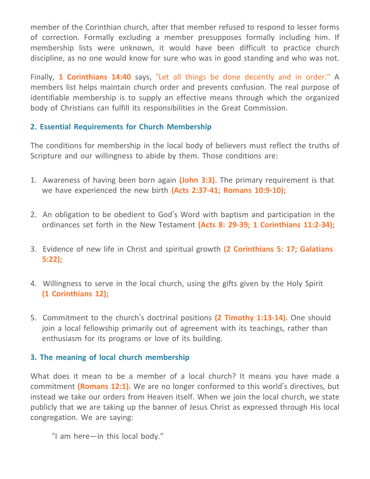member of the Corinthian church, after that member refused to respond to lesser forms of correction. Formally excluding a member presupposes formally including him. If membership lists were unknown, it would have been difficult to practice church discipline, as no one would know for sure who was in good standing and who was not.

Finally, **1 Corinthians 14:40** says, "Let all things be done decently and in order." A members list helps maintain church order and prevents confusion. The real purpose of identifiable membership is to supply an effective means through which the organized body of Christians can fulfill its responsibilities in the Great Commission.

# **2. Essential Requirements for Church Membership**

The conditions for membership in the local body of believers must reflect the truths of Scripture and our willingness to abide by them. Those conditions are:

- 1. Awareness of having been born again **(John 3:3).** The primary requirement is that we have experienced the new birth **(Acts 2:37-41; Romans 10:9-10);**
- 2. An obligation to be obedient to God's Word with baptism and participation in the ordinances set forth in the New Testament **(Acts 8: 29-39; 1 Corinthians 11:2-34);**
- 3. Evidence of new life in Christ and spiritual growth **(2 Corinthians 5: 17; Galatians 5:22);**
- 4. Willingness to serve in the local church, using the gifts given by the Holy Spirit **(1 Corinthians 12);**
- 5. Commitment to the church's doctrinal positions **(2 Timothy 1:13-14).** One should join a local fellowship primarily out of agreement with its teachings, rather than enthusiasm for its programs or love of its building.

## **3. The meaning of local church membership**

What does it mean to be a member of a local church? It means you have made a commitment **(Romans 12:1).** We are no longer conformed to this world's directives, but instead we take our orders from Heaven itself. When we join the local church, we state publicly that we are taking up the banner of Jesus Christ as expressed through His local congregation. We are saying:

"I am here—in this local body."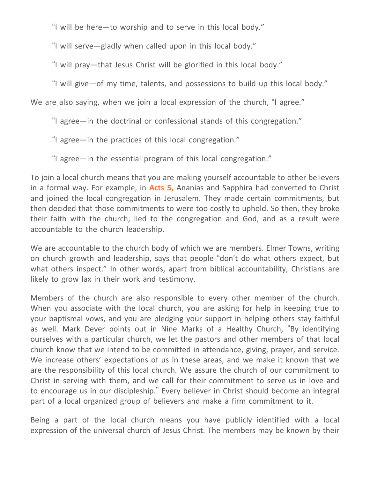"I will be here—to worship and to serve in this local body."

"I will serve—gladly when called upon in this local body."

"I will pray—that Jesus Christ will be glorified in this local body."

"I will give—of my time, talents, and possessions to build up this local body."

We are also saying, when we join a local expression of the church, "I agree."

"I agree—in the doctrinal or confessional stands of this congregation."

"I agree—in the practices of this local congregation."

"I agree—in the essential program of this local congregation."

To join a local church means that you are making yourself accountable to other believers in a formal way. For example, in **Acts 5,** Ananias and Sapphira had converted to Christ and joined the local congregation in Jerusalem. They made certain commitments, but then decided that those commitments to were too costly to uphold. So then, they broke their faith with the church, lied to the congregation and God, and as a result were accountable to the church leadership.

We are accountable to the church body of which we are members. Elmer Towns, writing on church growth and leadership, says that people "don't do what others expect, but what others inspect." In other words, apart from biblical accountability, Christians are likely to grow lax in their work and testimony.

Members of the church are also responsible to every other member of the church. When you associate with the local church, you are asking for help in keeping true to your baptismal vows, and you are pledging your support in helping others stay faithful as well. Mark Dever points out in Nine Marks of a Healthy Church, "By identifying ourselves with a particular church, we let the pastors and other members of that local church know that we intend to be committed in attendance, giving, prayer, and service. We increase others' expectations of us in these areas, and we make it known that we are the responsibility of this local church. We assure the church of our commitment to Christ in serving with them, and we call for their commitment to serve us in love and to encourage us in our discipleship." Every believer in Christ should become an integral part of a local organized group of believers and make a firm commitment to it.

Being a part of the local church means you have publicly identified with a local expression of the universal church of Jesus Christ. The members may be known by their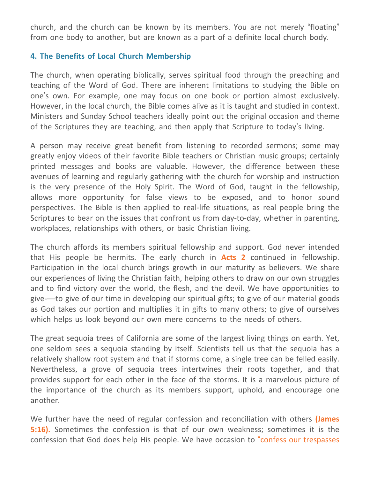church, and the church can be known by its members. You are not merely "floating" from one body to another, but are known as a part of a definite local church body.

### **4. The Benefits of Local Church Membership**

The church, when operating biblically, serves spiritual food through the preaching and teaching of the Word of God. There are inherent limitations to studying the Bible on one's own. For example, one may focus on one book or portion almost exclusively. However, in the local church, the Bible comes alive as it is taught and studied in context. Ministers and Sunday School teachers ideally point out the original occasion and theme of the Scriptures they are teaching, and then apply that Scripture to today's living.

A person may receive great benefit from listening to recorded sermons; some may greatly enjoy videos of their favorite Bible teachers or Christian music groups; certainly printed messages and books are valuable. However, the difference between these avenues of learning and regularly gathering with the church for worship and instruction is the very presence of the Holy Spirit. The Word of God, taught in the fellowship, allows more opportunity for false views to be exposed, and to honor sound perspectives. The Bible is then applied to real-life situations, as real people bring the Scriptures to bear on the issues that confront us from day-to-day, whether in parenting, workplaces, relationships with others, or basic Christian living.

The church affords its members spiritual fellowship and support. God never intended that His people be hermits. The early church in **Acts 2** continued in fellowship. Participation in the local church brings growth in our maturity as believers. We share our experiences of living the Christian faith, helping others to draw on our own struggles and to find victory over the world, the flesh, and the devil. We have opportunities to give-—to give of our time in developing our spiritual gifts; to give of our material goods as God takes our portion and multiplies it in gifts to many others; to give of ourselves which helps us look beyond our own mere concerns to the needs of others.

The great sequoia trees of California are some of the largest living things on earth. Yet, one seldom sees a sequoia standing by itself. Scientists tell us that the sequoia has a relatively shallow root system and that if storms come, a single tree can be felled easily. Nevertheless, a grove of sequoia trees intertwines their roots together, and that provides support for each other in the face of the storms. It is a marvelous picture of the importance of the church as its members support, uphold, and encourage one another.

We further have the need of regular confession and reconciliation with others **(James 5:16).** Sometimes the confession is that of our own weakness; sometimes it is the confession that God does help His people. We have occasion to "confess our trespasses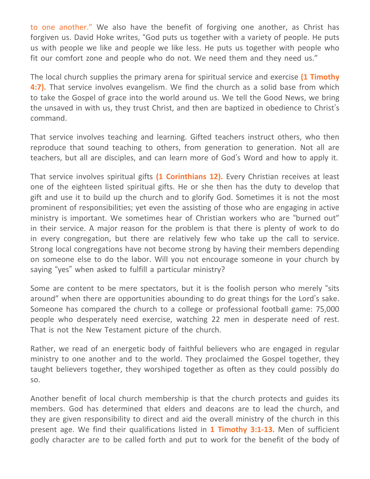to one another." We also have the benefit of forgiving one another, as Christ has forgiven us. David Hoke writes, "God puts us together with a variety of people. He puts us with people we like and people we like less. He puts us together with people who fit our comfort zone and people who do not. We need them and they need us."

The local church supplies the primary arena for spiritual service and exercise **(1 Timothy 4:7).** That service involves evangelism. We find the church as a solid base from which to take the Gospel of grace into the world around us. We tell the Good News, we bring the unsaved in with us, they trust Christ, and then are baptized in obedience to Christ's command.

That service involves teaching and learning. Gifted teachers instruct others, who then reproduce that sound teaching to others, from generation to generation. Not all are teachers, but all are disciples, and can learn more of God's Word and how to apply it.

That service involves spiritual gifts **(1 Corinthians 12).** Every Christian receives at least one of the eighteen listed spiritual gifts. He or she then has the duty to develop that gift and use it to build up the church and to glorify God. Sometimes it is not the most prominent of responsibilities; yet even the assisting of those who are engaging in active ministry is important. We sometimes hear of Christian workers who are "burned out" in their service. A major reason for the problem is that there is plenty of work to do in every congregation, but there are relatively few who take up the call to service. Strong local congregations have not become strong by having their members depending on someone else to do the labor. Will you not encourage someone in your church by saying "yes" when asked to fulfill a particular ministry?

Some are content to be mere spectators, but it is the foolish person who merely "sits around" when there are opportunities abounding to do great things for the Lord's sake. Someone has compared the church to a college or professional football game: 75,000 people who desperately need exercise, watching 22 men in desperate need of rest. That is not the New Testament picture of the church.

Rather, we read of an energetic body of faithful believers who are engaged in regular ministry to one another and to the world. They proclaimed the Gospel together, they taught believers together, they worshiped together as often as they could possibly do so.

Another benefit of local church membership is that the church protects and guides its members. God has determined that elders and deacons are to lead the church, and they are given responsibility to direct and aid the overall ministry of the church in this present age. We find their qualifications listed in **1 Timothy 3:1-13.** Men of sufficient godly character are to be called forth and put to work for the benefit of the body of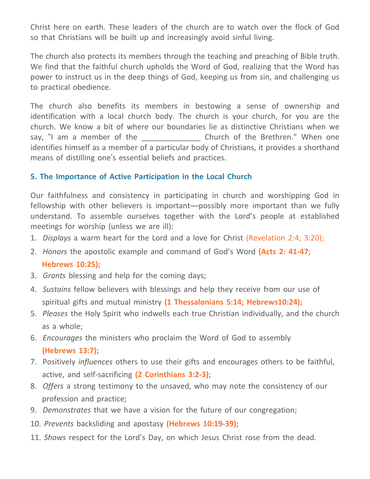Christ here on earth. These leaders of the church are to watch over the flock of God so that Christians will be built up and increasingly avoid sinful living.

The church also protects its members through the teaching and preaching of Bible truth. We find that the faithful church upholds the Word of God, realizing that the Word has power to instruct us in the deep things of God, keeping us from sin, and challenging us to practical obedience.

The church also benefits its members in bestowing a sense of ownership and identification with a local church body. The church is your church, for you are the church. We know a bit of where our boundaries lie as distinctive Christians when we say, "I am a member of the The Church of the Brethren." When one identifies himself as a member of a particular body of Christians, it provides a shorthand means of distilling one's essential beliefs and practices.

## **5. The Importance of Active Participation in the Local Church**

Our faithfulness and consistency in participating in church and worshipping God in fellowship with other believers is important—possibly more important than we fully understand. To assemble ourselves together with the Lord's people at established meetings for worship (unless we are ill):

- 1. *Displays* a warm heart for the Lord and a love for Christ (Revelation 2:4; 3:20);
- 2. *Honors* the apostolic example and command of God's Word **(Acts 2: 41-47; Hebrews 10:25);**
- 3. *Grants* blessing and help for the coming days;
- 4. *Sustains* fellow believers with blessings and help they receive from our use of spiritual gifts and mutual ministry **(1 Thessalonians 5:14; Hebrews10:24);**
- 5. *Pleases* the Holy Spirit who indwells each true Christian individually, and the church as a whole;
- 6. *Encourages* the ministers who proclaim the Word of God to assembly **(Hebrews 13:7);**
- 7. Positively *influences* others to use their gifts and encourages others to be faithful, active, and self-sacrificing **(2 Corinthians 3:2-3);**
- 8. *Offers* a strong testimony to the unsaved, who may note the consistency of our profession and practice;
- 9. *Demonstrates* that we have a vision for the future of our congregation;
- 10. *Prevents* backsliding and apostasy **(Hebrews 10:19-39);**
- 11. *Shows* respect for the Lord's Day, on which Jesus Christ rose from the dead.